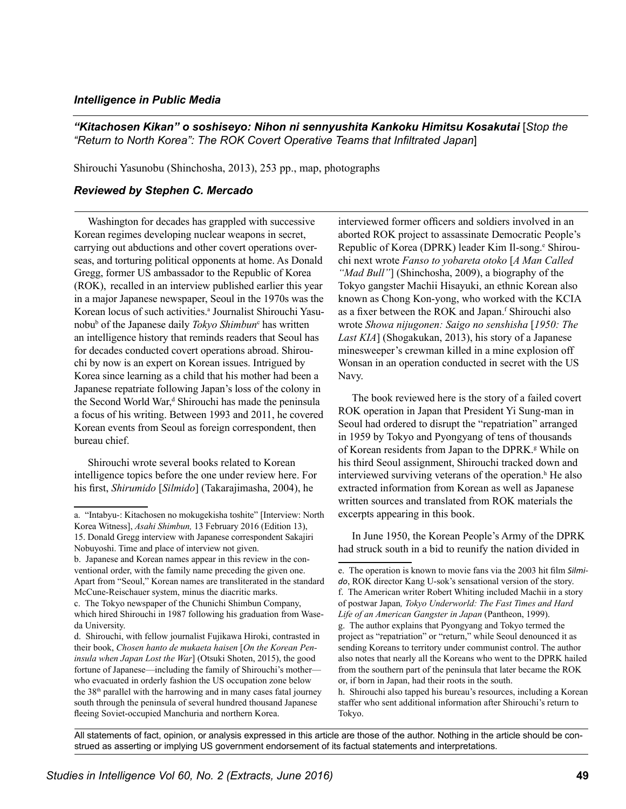## *Intelligence in Public Media*

"Kitachosen Kikan" o soshiseyo: Nihon ni sennyushita Kankoku Himitsu Kosakutai [Stop the *"Return to North Korea": The ROK Covert Operative Teams that Infiltrated Japan*]

Shirouchi Yasunobu (Shinchosha, 2013), 253 pp., map, photographs

## *Reviewed by Stephen C. Mercado*

Washington for decades has grappled with successive Korean regimes developing nuclear weapons in secret, carrying out abductions and other covert operations overseas, and torturing political opponents at home. As Donald Gregg, former US ambassador to the Republic of Korea (ROK), recalled in an interview published earlier this year in a major Japanese newspaper, Seoul in the 1970s was the Korean locus of such activities.<sup>a</sup> Journalist Shirouchi Yasunobu<sup>b</sup> of the Japanese daily *Tokyo Shimbun*<sup>c</sup> has written an intelligence history that reminds readers that Seoul has for decades conducted covert operations abroad. Shirouchi by now is an expert on Korean issues. Intrigued by Korea since learning as a child that his mother had been a Japanese repatriate following Japan's loss of the colony in the Second World War,<sup>d</sup> Shirouchi has made the peninsula a focus of his writing. Between 1993 and 2011, he covered Korean events from Seoul as foreign correspondent, then bureau chief.

Shirouchi wrote several books related to Korean intelligence topics before the one under review here. For his first, *Shirumido* [*Silmido*] (Takarajimasha, 2004), he

interviewed former officers and soldiers involved in an aborted ROK project to assassinate Democratic People's Republic of Korea (DPRK) leader Kim Il-song.<sup>e</sup> Shirouchi next wrote *Fanso to yobareta otoko* [*A Man Called "Mad Bull"*] (Shinchosha, 2009), a biography of the Tokyo gangster Machii Hisayuki, an ethnic Korean also known as Chong Kon-yong, who worked with the KCIA as a fixer between the ROK and Japan.<sup>f</sup> Shirouchi also wrote *Showa nijugonen: Saigo no senshisha* [*1950: The Last KIA*] (Shogakukan, 2013), his story of a Japanese minesweeper's crewman killed in a mine explosion off Wonsan in an operation conducted in secret with the US Navy.

The book reviewed here is the story of a failed covert ROK operation in Japan that President Yi Sung-man in Seoul had ordered to disrupt the "repatriation" arranged in 1959 by Tokyo and Pyongyang of tens of thousands of Korean residents from Japan to the DPRK.<sup>8</sup> While on his third Seoul assignment, Shirouchi tracked down and interviewed surviving veterans of the operation.<sup>h</sup> He also extracted information from Korean as well as Japanese written sources and translated from ROK materials the excerpts appearing in this book.

In June 1950, the Korean People's Army of the DPRK had struck south in a bid to reunify the nation divided in

All statements of fact, opinion, or analysis expressed in this article are those of the author. Nothing in the article should be construed as asserting or implying US government endorsement of its factual statements and interpretations.

a. "Intabyu-: Kitachosen no mokugekisha toshite" [Interview: North Korea Witness], *Asahi Shimbun,* 13 February 2016 (Edition 13), 15. Donald Gregg interview with Japanese correspondent Sakajiri Nobuyoshi. Time and place of interview not given.

b. Japanese and Korean names appear in this review in the conventional order, with the family name preceding the given one. Apart from "Seoul," Korean names are transliterated in the standard McCune-Reischauer system, minus the diacritic marks.

c. The Tokyo newspaper of the Chunichi Shimbun Company, which hired Shirouchi in 1987 following his graduation from Waseda University.

d. Shirouchi, with fellow journalist Fujikawa Hiroki, contrasted in their book, *Chosen hanto de mukaeta haisen* [*On the Korean Peninsula when Japan Lost the War*] (Otsuki Shoten, 2015), the good fortune of Japanese—including the family of Shirouchi's mother who evacuated in orderly fashion the US occupation zone below the 38th parallel with the harrowing and in many cases fatal journey south through the peninsula of several hundred thousand Japanese fleeing Soviet-occupied Manchuria and northern Korea.

e. The operation is known to movie fans via the 2003 hit film *Silmido*, ROK director Kang U-sok's sensational version of the story. f. The American writer Robert Whiting included Machii in a story of postwar Japan*, Tokyo Underworld: The Fast Times and Hard Life of an American Gangster in Japan* (Pantheon, 1999).

g. The author explains that Pyongyang and Tokyo termed the project as "repatriation" or "return," while Seoul denounced it as sending Koreans to territory under communist control. The author also notes that nearly all the Koreans who went to the DPRK hailed from the southern part of the peninsula that later became the ROK or, if born in Japan, had their roots in the south.

h. Shirouchi also tapped his bureau's resources, including a Korean staffer who sent additional information after Shirouchi's return to Tokyo.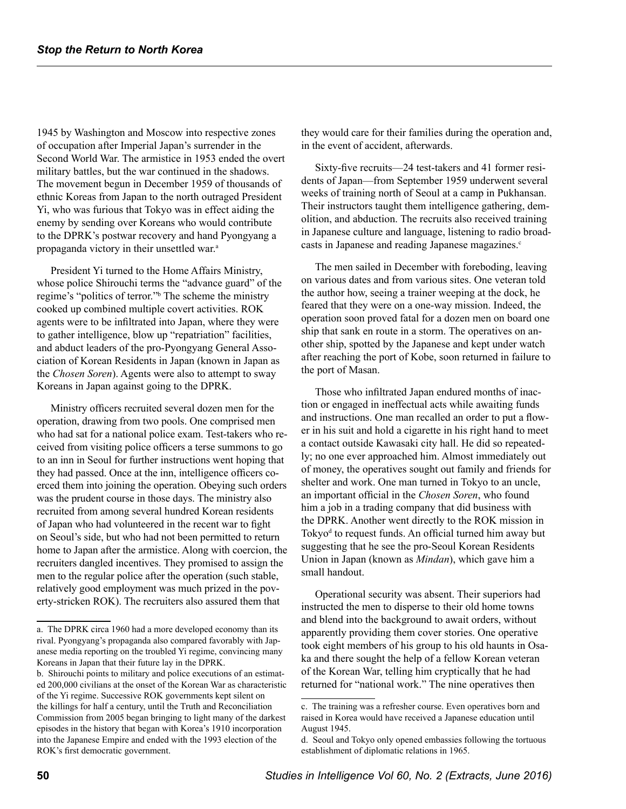1945 by Washington and Moscow into respective zones of occupation after Imperial Japan's surrender in the Second World War. The armistice in 1953 ended the overt military battles, but the war continued in the shadows. The movement begun in December 1959 of thousands of ethnic Koreas from Japan to the north outraged President Yi, who was furious that Tokyo was in effect aiding the enemy by sending over Koreans who would contribute to the DPRK's postwar recovery and hand Pyongyang a propaganda victory in their unsettled war.<sup>a</sup>

President Yi turned to the Home Affairs Ministry, whose police Shirouchi terms the "advance guard" of the regime's "politics of terror." The scheme the ministry cooked up combined multiple covert activities. ROK agents were to be infiltrated into Japan, where they were to gather intelligence, blow up "repatriation" facilities, and abduct leaders of the pro-Pyongyang General Association of Korean Residents in Japan (known in Japan as the *Chosen Soren*). Agents were also to attempt to sway Koreans in Japan against going to the DPRK.

Ministry officers recruited several dozen men for the operation, drawing from two pools. One comprised men who had sat for a national police exam. Test-takers who received from visiting police officers a terse summons to go to an inn in Seoul for further instructions went hoping that they had passed. Once at the inn, intelligence officers coerced them into joining the operation. Obeying such orders was the prudent course in those days. The ministry also recruited from among several hundred Korean residents of Japan who had volunteered in the recent war to fight on Seoul's side, but who had not been permitted to return home to Japan after the armistice. Along with coercion, the recruiters dangled incentives. They promised to assign the men to the regular police after the operation (such stable, relatively good employment was much prized in the poverty-stricken ROK). The recruiters also assured them that

they would care for their families during the operation and, in the event of accident, afterwards.

Sixty-five recruits—24 test-takers and 41 former residents of Japan—from September 1959 underwent several weeks of training north of Seoul at a camp in Pukhansan. Their instructors taught them intelligence gathering, demolition, and abduction. The recruits also received training in Japanese culture and language, listening to radio broadcasts in Japanese and reading Japanese magazines.<sup>c</sup>

The men sailed in December with foreboding, leaving on various dates and from various sites. One veteran told the author how, seeing a trainer weeping at the dock, he feared that they were on a one-way mission. Indeed, the operation soon proved fatal for a dozen men on board one ship that sank en route in a storm. The operatives on another ship, spotted by the Japanese and kept under watch after reaching the port of Kobe, soon returned in failure to the port of Masan.

Those who infiltrated Japan endured months of inaction or engaged in ineffectual acts while awaiting funds and instructions. One man recalled an order to put a flower in his suit and hold a cigarette in his right hand to meet a contact outside Kawasaki city hall. He did so repeatedly; no one ever approached him. Almost immediately out of money, the operatives sought out family and friends for shelter and work. One man turned in Tokyo to an uncle, an important official in the *Chosen Soren*, who found him a job in a trading company that did business with the DPRK. Another went directly to the ROK mission in Tokyo<sup>d</sup> to request funds. An official turned him away but suggesting that he see the pro-Seoul Korean Residents Union in Japan (known as *Mindan*), which gave him a small handout.

Operational security was absent. Their superiors had instructed the men to disperse to their old home towns and blend into the background to await orders, without apparently providing them cover stories. One operative took eight members of his group to his old haunts in Osaka and there sought the help of a fellow Korean veteran of the Korean War, telling him cryptically that he had returned for "national work." The nine operatives then

a. The DPRK circa 1960 had a more developed economy than its rival. Pyongyang's propaganda also compared favorably with Japanese media reporting on the troubled Yi regime, convincing many Koreans in Japan that their future lay in the DPRK.

b. Shirouchi points to military and police executions of an estimated 200,000 civilians at the onset of the Korean War as characteristic of the Yi regime. Successive ROK governments kept silent on the killings for half a century, until the Truth and Reconciliation Commission from 2005 began bringing to light many of the darkest episodes in the history that began with Korea's 1910 incorporation into the Japanese Empire and ended with the 1993 election of the ROK's first democratic government.

c. The training was a refresher course. Even operatives born and raised in Korea would have received a Japanese education until August 1945.

d. Seoul and Tokyo only opened embassies following the tortuous establishment of diplomatic relations in 1965.